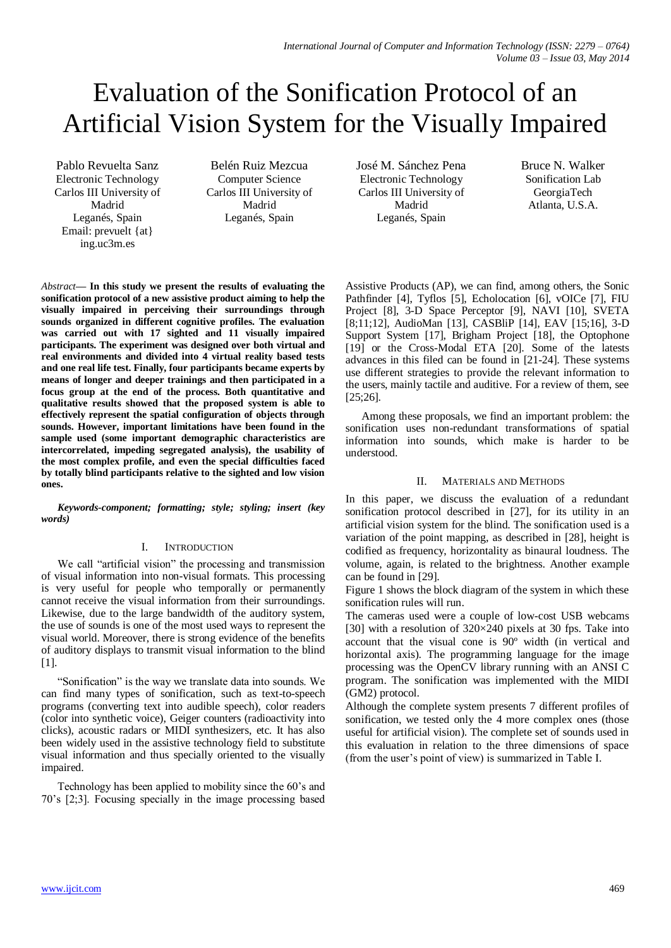# Evaluation of the Sonification Protocol of an Artificial Vision System for the Visually Impaired

Pablo Revuelta Sanz Electronic Technology Carlos III University of Madrid Leganés, Spain Email: [prevuelt](mailto:prevuelt@ing.uc3m.es) {at} [ing.uc3m.es](mailto:prevuelt@ing.uc3m.es)

Belén Ruiz Mezcua Computer Science Carlos III University of Madrid Leganés, Spain

José M. Sánchez Pena Electronic Technology Carlos III University of Madrid Leganés, Spain

Bruce N. Walker Sonification Lab GeorgiaTech Atlanta, U.S.A.

*Abstract***— In this study we present the results of evaluating the sonification protocol of a new assistive product aiming to help the visually impaired in perceiving their surroundings through sounds organized in different cognitive profiles. The evaluation was carried out with 17 sighted and 11 visually impaired participants. The experiment was designed over both virtual and real environments and divided into 4 virtual reality based tests and one real life test. Finally, four participants became experts by means of longer and deeper trainings and then participated in a focus group at the end of the process. Both quantitative and qualitative results showed that the proposed system is able to effectively represent the spatial configuration of objects through sounds. However, important limitations have been found in the sample used (some important demographic characteristics are intercorrelated, impeding segregated analysis), the usability of the most complex profile, and even the special difficulties faced by totally blind participants relative to the sighted and low vision ones.**

*Keywords-component; formatting; style; styling; insert (key words)*

## I. INTRODUCTION

We call "artificial vision" the processing and transmission of visual information into non-visual formats. This processing is very useful for people who temporally or permanently cannot receive the visual information from their surroundings. Likewise, due to the large bandwidth of the auditory system, the use of sounds is one of the most used ways to represent the visual world. Moreover, there is strong evidence of the benefits of auditory displays to transmit visual information to the blind [1].

"Sonification" is the way we translate data into sounds. We can find many types of sonification, such as text-to-speech programs (converting text into audible speech), color readers (color into synthetic voice), Geiger counters (radioactivity into clicks), acoustic radars or MIDI synthesizers, etc. It has also been widely used in the assistive technology field to substitute visual information and thus specially oriented to the visually impaired.

Technology has been applied to mobility since the 60's and 70's [2;3]. Focusing specially in the image processing based Assistive Products (AP), we can find, among others, the Sonic Pathfinder [4], Tyflos [5], Echolocation [6], vOICe [7], FIU Project [8], 3-D Space Perceptor [9], NAVI [10], SVETA [8;11;12], AudioMan [13], CASBliP [14], EAV [15;16], 3-D Support System [17], Brigham Project [18], the Optophone [19] or the Cross-Modal ETA [20]. Some of the latests advances in this filed can be found in [21-24]. These systems use different strategies to provide the relevant information to the users, mainly tactile and auditive. For a review of them, see [25;26].

Among these proposals, we find an important problem: the sonification uses non-redundant transformations of spatial information into sounds, which make is harder to be understood.

## II. MATERIALS AND METHODS

In this paper, we discuss the evaluation of a redundant sonification protocol described in [27], for its utility in an artificial vision system for the blind. The sonification used is a variation of the point mapping, as described in [28], height is codified as frequency, horizontality as binaural loudness. The volume, again, is related to the brightness. Another example can be found in [29].

Figure 1 shows the block diagram of the system in which these sonification rules will run.

The cameras used were a couple of low-cost USB webcams [30] with a resolution of  $320 \times 240$  pixels at 30 fps. Take into account that the visual cone is 90º width (in vertical and horizontal axis). The programming language for the image processing was the OpenCV library running with an ANSI C program. The sonification was implemented with the MIDI (GM2) protocol.

Although the complete system presents 7 different profiles of sonification, we tested only the 4 more complex ones (those useful for artificial vision). The complete set of sounds used in this evaluation in relation to the three dimensions of space (from the user's point of view) is summarized in Table I.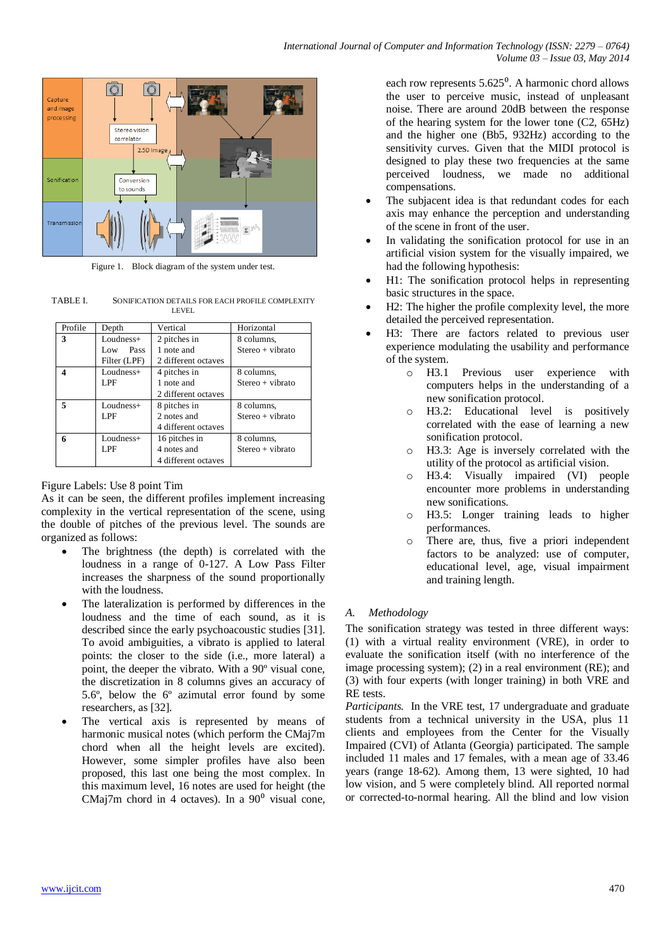

Figure 1. Block diagram of the system under test.

TABLE I. SONIFICATION DETAILS FOR EACH PROFILE COMPLEXITY LEVEL

| Profile | Depth        | Vertical            | Horizontal         |
|---------|--------------|---------------------|--------------------|
| 3       | $Loudness+$  | 2 pitches in        | 8 columns.         |
|         | Pass<br>Low  | 1 note and          | $Stereo + vibrato$ |
|         | Filter (LPF) | 2 different octaves |                    |
|         | $Loudness+$  | 4 pitches in        | 8 columns,         |
|         | LPF          | 1 note and          | $Stereo + vibrato$ |
|         |              | 2 different octaves |                    |
|         | $Loudness+$  | 8 pitches in        | 8 columns,         |
|         | LPF          | 2 notes and         | $Stereo + vibrato$ |
|         |              | 4 different octaves |                    |
| 6       | $Loudness+$  | 16 pitches in       | 8 columns.         |
|         | LPF          | 4 notes and         | $Stereo + vibrato$ |
|         |              | 4 different octaves |                    |

## Figure Labels: Use 8 point Tim

As it can be seen, the different profiles implement increasing complexity in the vertical representation of the scene, using the double of pitches of the previous level. The sounds are organized as follows:

- The brightness (the depth) is correlated with the loudness in a range of 0-127. A Low Pass Filter increases the sharpness of the sound proportionally with the loudness.
- The lateralization is performed by differences in the loudness and the time of each sound, as it is described since the early psychoacoustic studies [31]. To avoid ambiguities, a vibrato is applied to lateral points: the closer to the side (i.e., more lateral) a point, the deeper the vibrato. With a 90º visual cone, the discretization in 8 columns gives an accuracy of 5.6º, below the 6º azimutal error found by some researchers, as [32].
- The vertical axis is represented by means of harmonic musical notes (which perform the CMaj7m chord when all the height levels are excited). However, some simpler profiles have also been proposed, this last one being the most complex. In this maximum level, 16 notes are used for height (the CMaj7m chord in 4 octaves). In a  $90^{\circ}$  visual cone,

each row represents  $5.625^{\circ}$ . A harmonic chord allows the user to perceive music, instead of unpleasant noise. There are around 20dB between the response of the hearing system for the lower tone (C2, 65Hz) and the higher one (Bb5, 932Hz) according to the sensitivity curves. Given that the MIDI protocol is designed to play these two frequencies at the same perceived loudness, we made no additional compensations.

- The subjacent idea is that redundant codes for each axis may enhance the perception and understanding of the scene in front of the user.
- In validating the sonification protocol for use in an artificial vision system for the visually impaired, we had the following hypothesis:
- H1: The sonification protocol helps in representing basic structures in the space.
- H2: The higher the profile complexity level, the more detailed the perceived representation.
- H3: There are factors related to previous user experience modulating the usability and performance of the system.
	- o H3.1 Previous user experience with computers helps in the understanding of a new sonification protocol.
	- o H3.2: Educational level is positively correlated with the ease of learning a new sonification protocol.
	- o H3.3: Age is inversely correlated with the utility of the protocol as artificial vision.
	- o H3.4: Visually impaired (VI) people encounter more problems in understanding new sonifications.
	- o H3.5: Longer training leads to higher performances.
	- o There are, thus, five a priori independent factors to be analyzed: use of computer, educational level, age, visual impairment and training length.

## *A. Methodology*

The sonification strategy was tested in three different ways: (1) with a virtual reality environment (VRE), in order to evaluate the sonification itself (with no interference of the image processing system); (2) in a real environment (RE); and (3) with four experts (with longer training) in both VRE and RE tests.

*Participants.* In the VRE test, 17 undergraduate and graduate students from a technical university in the USA, plus 11 clients and employees from the Center for the Visually Impaired (CVI) of Atlanta (Georgia) participated. The sample included 11 males and 17 females, with a mean age of 33.46 years (range 18-62). Among them, 13 were sighted, 10 had low vision, and 5 were completely blind. All reported normal or corrected-to-normal hearing. All the blind and low vision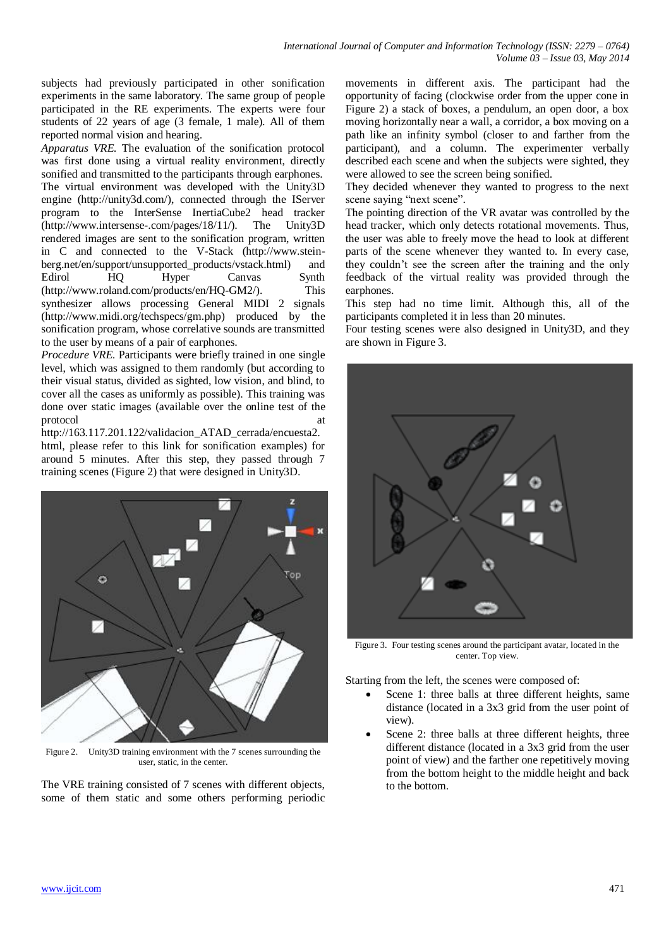subjects had previously participated in other sonification experiments in the same laboratory. The same group of people participated in the RE experiments. The experts were four students of 22 years of age (3 female, 1 male). All of them reported normal vision and hearing.

*Apparatus VRE.* The evaluation of the sonification protocol was first done using a virtual reality environment, directly sonified and transmitted to the participants through earphones. The virtual environment was developed with the Unity3D engine (http://unity3d.com/), connected through the IServer program to the InterSense InertiaCube2 head tracker (http://www.intersense-.com/pages/18/11/). The Unity3D rendered images are sent to the sonification program, written in C and connected to the V-Stack (http://www.steinberg.net/en/support/unsupported\_products/vstack.html) and Edirol HQ Hyper Canvas Synth (http://www.roland.com/products/en/HQ-GM2/). This synthesizer allows processing General MIDI 2 signals (http://www.midi.org/techspecs/gm.php) produced by the sonification program, whose correlative sounds are transmitted to the user by means of a pair of earphones.

*Procedure VRE.* Participants were briefly trained in one single level, which was assigned to them randomly (but according to their visual status, divided as sighted, low vision, and blind, to cover all the cases as uniformly as possible). This training was done over static images (available over the online test of the protocol

http://163.117.201.122/validacion\_ATAD\_cerrada/encuesta2. html, please refer to this link for sonification examples) for around 5 minutes. After this step, they passed through 7 training scenes (Figure 2) that were designed in Unity3D.



Figure 2. Unity3D training environment with the 7 scenes surrounding the user, static, in the center.

The VRE training consisted of 7 scenes with different objects, some of them static and some others performing periodic movements in different axis. The participant had the opportunity of facing (clockwise order from the upper cone in Figure 2) a stack of boxes, a pendulum, an open door, a box moving horizontally near a wall, a corridor, a box moving on a path like an infinity symbol (closer to and farther from the participant), and a column. The experimenter verbally described each scene and when the subjects were sighted, they were allowed to see the screen being sonified.

They decided whenever they wanted to progress to the next scene saying "next scene".

The pointing direction of the VR avatar was controlled by the head tracker, which only detects rotational movements. Thus, the user was able to freely move the head to look at different parts of the scene whenever they wanted to. In every case, they couldn't see the screen after the training and the only feedback of the virtual reality was provided through the earphones.

This step had no time limit. Although this, all of the participants completed it in less than 20 minutes.

Four testing scenes were also designed in Unity3D, and they are shown in Figure 3.



Figure 3. Four testing scenes around the participant avatar, located in the center. Top view.

Starting from the left, the scenes were composed of:

- Scene 1: three balls at three different heights, same distance (located in a 3x3 grid from the user point of view).
- Scene 2: three balls at three different heights, three different distance (located in a 3x3 grid from the user point of view) and the farther one repetitively moving from the bottom height to the middle height and back to the bottom.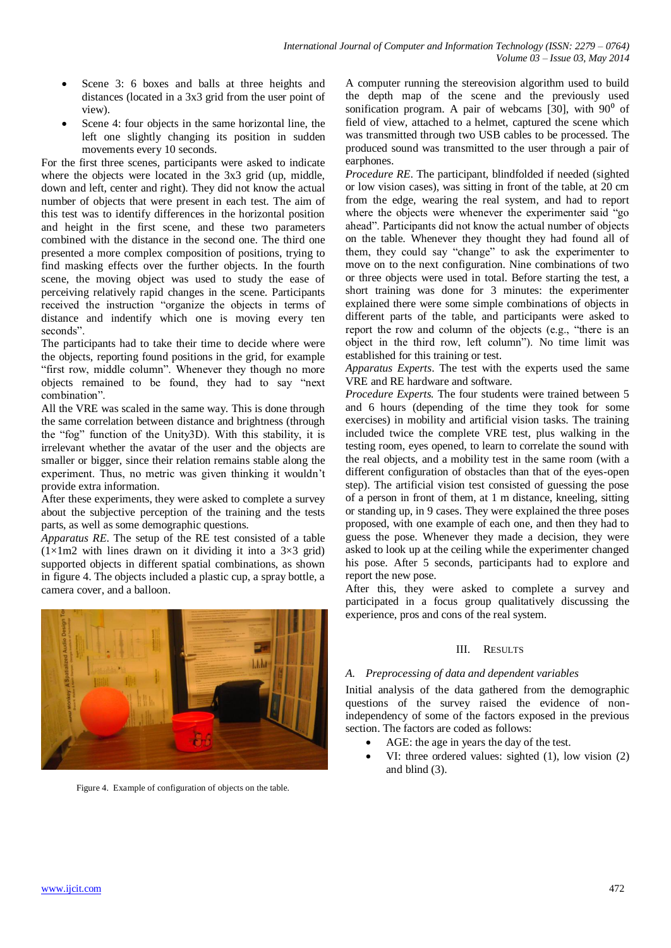- Scene 3: 6 boxes and balls at three heights and distances (located in a 3x3 grid from the user point of view).
- Scene 4: four objects in the same horizontal line, the left one slightly changing its position in sudden movements every 10 seconds.

For the first three scenes, participants were asked to indicate where the objects were located in the 3x3 grid (up, middle, down and left, center and right). They did not know the actual number of objects that were present in each test. The aim of this test was to identify differences in the horizontal position and height in the first scene, and these two parameters combined with the distance in the second one. The third one presented a more complex composition of positions, trying to find masking effects over the further objects. In the fourth scene, the moving object was used to study the ease of perceiving relatively rapid changes in the scene. Participants received the instruction "organize the objects in terms of distance and indentify which one is moving every ten seconds".

The participants had to take their time to decide where were the objects, reporting found positions in the grid, for example "first row, middle column". Whenever they though no more objects remained to be found, they had to say "next combination".

All the VRE was scaled in the same way. This is done through the same correlation between distance and brightness (through the "fog" function of the Unity3D). With this stability, it is irrelevant whether the avatar of the user and the objects are smaller or bigger, since their relation remains stable along the experiment. Thus, no metric was given thinking it wouldn't provide extra information.

After these experiments, they were asked to complete a survey about the subjective perception of the training and the tests parts, as well as some demographic questions.

*Apparatus RE*. The setup of the RE test consisted of a table  $(1\times1m2$  with lines drawn on it dividing it into a 3×3 grid) supported objects in different spatial combinations, as shown in figure 4. The objects included a plastic cup, a spray bottle, a camera cover, and a balloon.



Figure 4. Example of configuration of objects on the table.

A computer running the stereovision algorithm used to build the depth map of the scene and the previously used sonification program. A pair of webcams [30], with  $90^{\circ}$  of field of view, attached to a helmet, captured the scene which was transmitted through two USB cables to be processed. The produced sound was transmitted to the user through a pair of earphones.

*Procedure RE*. The participant, blindfolded if needed (sighted or low vision cases), was sitting in front of the table, at 20 cm from the edge, wearing the real system, and had to report where the objects were whenever the experimenter said "go ahead". Participants did not know the actual number of objects on the table. Whenever they thought they had found all of them, they could say "change" to ask the experimenter to move on to the next configuration. Nine combinations of two or three objects were used in total. Before starting the test, a short training was done for 3 minutes: the experimenter explained there were some simple combinations of objects in different parts of the table, and participants were asked to report the row and column of the objects (e.g., "there is an object in the third row, left column"). No time limit was established for this training or test.

*Apparatus Experts*. The test with the experts used the same VRE and RE hardware and software.

*Procedure Experts.* The four students were trained between 5 and 6 hours (depending of the time they took for some exercises) in mobility and artificial vision tasks. The training included twice the complete VRE test, plus walking in the testing room, eyes opened, to learn to correlate the sound with the real objects, and a mobility test in the same room (with a different configuration of obstacles than that of the eyes-open step). The artificial vision test consisted of guessing the pose of a person in front of them, at 1 m distance, kneeling, sitting or standing up, in 9 cases. They were explained the three poses proposed, with one example of each one, and then they had to guess the pose. Whenever they made a decision, they were asked to look up at the ceiling while the experimenter changed his pose. After 5 seconds, participants had to explore and report the new pose.

After this, they were asked to complete a survey and participated in a focus group qualitatively discussing the experience, pros and cons of the real system.

## III. RESULTS

## *A. Preprocessing of data and dependent variables*

Initial analysis of the data gathered from the demographic questions of the survey raised the evidence of nonindependency of some of the factors exposed in the previous section. The factors are coded as follows:

- AGE: the age in years the day of the test.
- VI: three ordered values: sighted (1), low vision (2) and blind (3).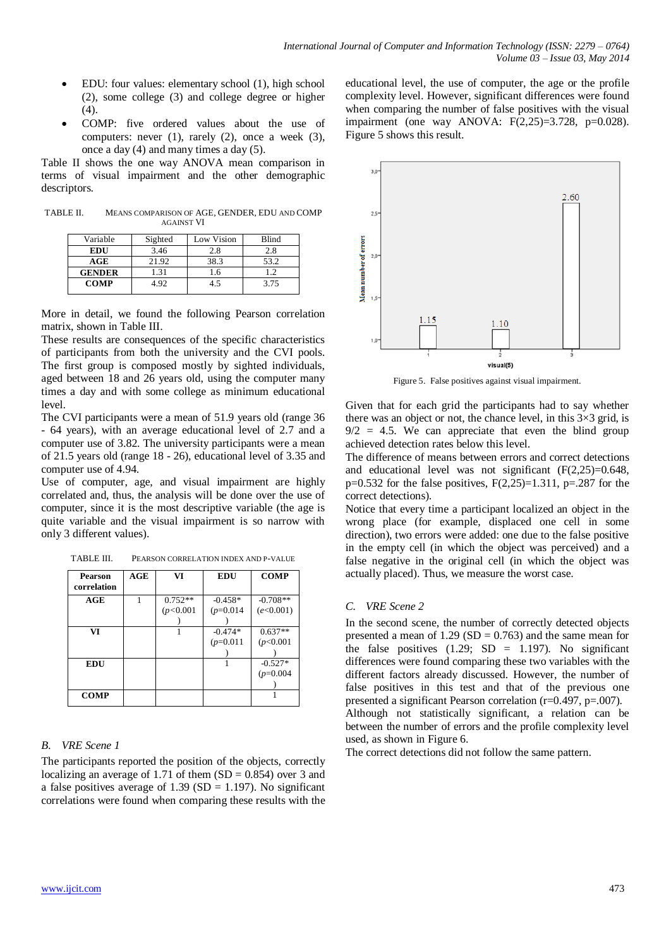- EDU: four values: elementary school (1), high school (2), some college (3) and college degree or higher (4).
- COMP: five ordered values about the use of computers: never  $(1)$ , rarely  $(2)$ , once a week  $(3)$ , once a day (4) and many times a day (5).

Table II shows the one way ANOVA mean comparison in terms of visual impairment and the other demographic descriptors.

TABLE II. MEANS COMPARISON OF AGE, GENDER, EDU AND COMP AGAINST VI

| Variable       | Sighted | Low Vision | Blind |
|----------------|---------|------------|-------|
| <b>EDU</b>     | 3.46    | 2.8        | 2.8   |
| $\mathbf{AGE}$ | 21.92   | 38.3       | 53.2  |
| <b>GENDER</b>  | l 31    | 1.6        | 1.2   |
| <b>COMP</b>    | 492     | 4.5        | 3.75  |

More in detail, we found the following Pearson correlation matrix, shown in Table III.

These results are consequences of the specific characteristics of participants from both the university and the CVI pools. The first group is composed mostly by sighted individuals, aged between 18 and 26 years old, using the computer many times a day and with some college as minimum educational level.

The CVI participants were a mean of 51.9 years old (range 36 - 64 years), with an average educational level of 2.7 and a computer use of 3.82. The university participants were a mean of 21.5 years old (range 18 - 26), educational level of 3.35 and computer use of 4.94.

Use of computer, age, and visual impairment are highly correlated and, thus, the analysis will be done over the use of computer, since it is the most descriptive variable (the age is quite variable and the visual impairment is so narrow with only 3 different values).

| TABLE III. | PEARSON CORRELATION INDEX AND P-VALUE |
|------------|---------------------------------------|
|            |                                       |

| <b>Pearson</b><br>correlation | AGE | VI        | <b>EDU</b>  | <b>COMP</b> |
|-------------------------------|-----|-----------|-------------|-------------|
| AGE                           | 1   | $0.752**$ | $-0.458*$   | $-0.708**$  |
|                               |     | (p<0.001) | $(p=0.014)$ | (e<0.001)   |
|                               |     |           |             |             |
| VI                            |     |           | $-0.474*$   | $0.637**$   |
|                               |     |           | $(p=0.011)$ | (p<0.001)   |
|                               |     |           |             |             |
| EDU                           |     |           |             | $-0.527*$   |
|                               |     |           |             | $(p=0.004)$ |
|                               |     |           |             |             |
| <b>COMP</b>                   |     |           |             |             |

## *B. VRE Scene 1*

The participants reported the position of the objects, correctly localizing an average of 1.71 of them  $(SD = 0.854)$  over 3 and a false positives average of 1.39 (SD = 1.197). No significant correlations were found when comparing these results with the educational level, the use of computer, the age or the profile complexity level. However, significant differences were found when comparing the number of false positives with the visual impairment (one way ANOVA: F(2,25)=3.728, p=0.028). Figure 5 shows this result.



Figure 5. False positives against visual impairment.

Given that for each grid the participants had to say whether there was an object or not, the chance level, in this  $3\times3$  grid, is  $9/2 = 4.5$ . We can appreciate that even the blind group achieved detection rates below this level.

The difference of means between errors and correct detections and educational level was not significant (F(2,25)=0.648,  $p=0.532$  for the false positives,  $F(2,25)=1.311$ ,  $p=.287$  for the correct detections).

Notice that every time a participant localized an object in the wrong place (for example, displaced one cell in some direction), two errors were added: one due to the false positive in the empty cell (in which the object was perceived) and a false negative in the original cell (in which the object was actually placed). Thus, we measure the worst case.

#### *C. VRE Scene 2*

In the second scene, the number of correctly detected objects presented a mean of  $1.29$  (SD = 0.763) and the same mean for the false positives  $(1.29; SD = 1.197)$ . No significant differences were found comparing these two variables with the different factors already discussed. However, the number of false positives in this test and that of the previous one presented a significant Pearson correlation (r=0.497, p=.007). Although not statistically significant, a relation can be between the number of errors and the profile complexity level used, as shown in Figure 6.

The correct detections did not follow the same pattern.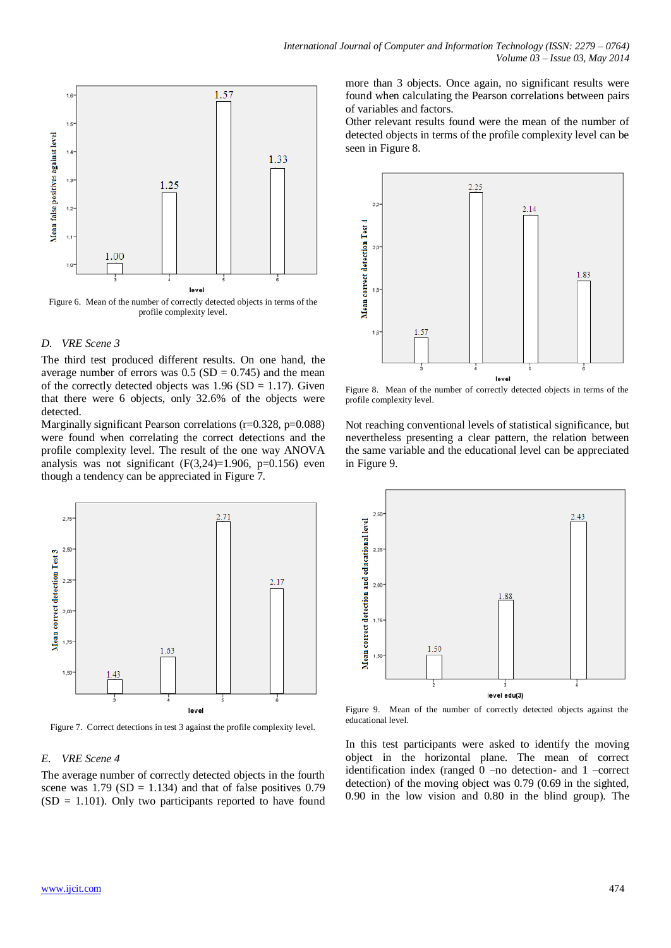

#### *D. VRE Scene 3*

The third test produced different results. On one hand, the average number of errors was  $0.5$  (SD = 0.745) and the mean of the correctly detected objects was  $1.96$  (SD = 1.17). Given that there were 6 objects, only 32.6% of the objects were detected.

Marginally significant Pearson correlations (r=0.328, p=0.088) were found when correlating the correct detections and the profile complexity level. The result of the one way ANOVA analysis was not significant  $(F(3,24)=1.906, p=0.156)$  even though a tendency can be appreciated in Figure 7.



Figure 7. Correct detections in test 3 against the profile complexity level.

#### *E. VRE Scene 4*

The average number of correctly detected objects in the fourth scene was  $1.79$  (SD = 1.134) and that of false positives 0.79  $(SD = 1.101)$ . Only two participants reported to have found more than 3 objects. Once again, no significant results were found when calculating the Pearson correlations between pairs of variables and factors.

Other relevant results found were the mean of the number of detected objects in terms of the profile complexity level can be seen in Figure 8.



Figure 8. Mean of the number of correctly detected objects in terms of the profile complexity level.

Not reaching conventional levels of statistical significance, but nevertheless presenting a clear pattern, the relation between the same variable and the educational level can be appreciated in Figure 9.



Figure 9. Mean of the number of correctly detected objects against the educational level.

In this test participants were asked to identify the moving object in the horizontal plane. The mean of correct identification index (ranged 0 –no detection- and 1 –correct detection) of the moving object was 0.79 (0.69 in the sighted, 0.90 in the low vision and 0.80 in the blind group). The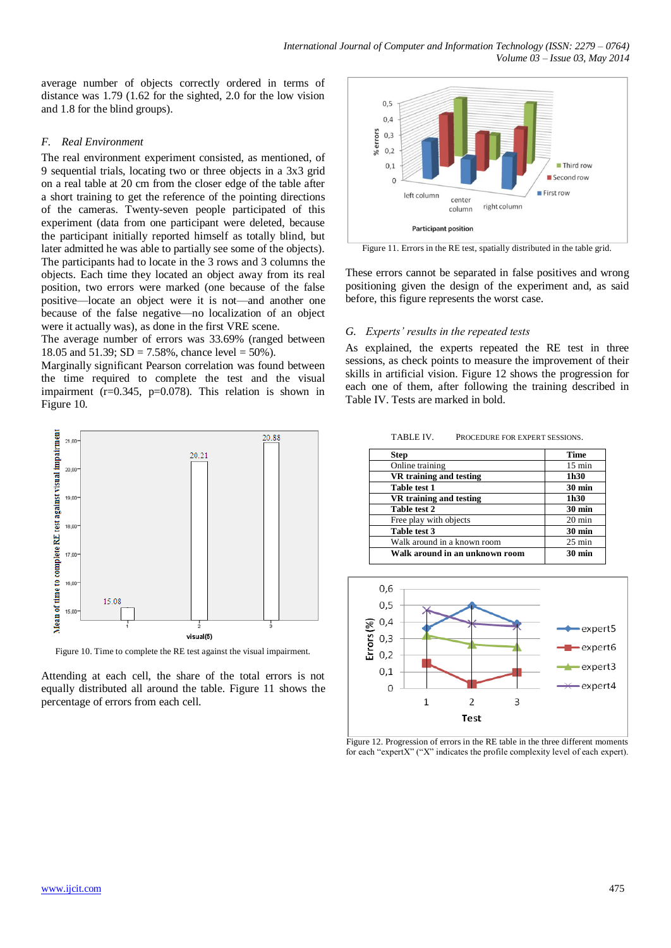average number of objects correctly ordered in terms of distance was 1.79 (1.62 for the sighted, 2.0 for the low vision and 1.8 for the blind groups).

## *F. Real Environment*

The real environment experiment consisted, as mentioned, of 9 sequential trials, locating two or three objects in a 3x3 grid on a real table at 20 cm from the closer edge of the table after a short training to get the reference of the pointing directions of the cameras. Twenty-seven people participated of this experiment (data from one participant were deleted, because the participant initially reported himself as totally blind, but later admitted he was able to partially see some of the objects). The participants had to locate in the 3 rows and 3 columns the objects. Each time they located an object away from its real position, two errors were marked (one because of the false positive—locate an object were it is not—and another one because of the false negative—no localization of an object were it actually was), as done in the first VRE scene.

The average number of errors was 33.69% (ranged between 18.05 and 51.39;  $SD = 7.58\%$ , chance level = 50%).

Marginally significant Pearson correlation was found between the time required to complete the test and the visual impairment ( $r=0.345$ ,  $p=0.078$ ). This relation is shown in Figure 10.



Figure 10. Time to complete the RE test against the visual impairment.

Attending at each cell, the share of the total errors is not equally distributed all around the table. Figure 11 shows the percentage of errors from each cell.



Figure 11. Errors in the RE test, spatially distributed in the table grid.

These errors cannot be separated in false positives and wrong positioning given the design of the experiment and, as said before, this figure represents the worst case.

### *G. Experts' results in the repeated tests*

As explained, the experts repeated the RE test in three sessions, as check points to measure the improvement of their skills in artificial vision. Figure 12 shows the progression for each one of them, after following the training described in Table IV. Tests are marked in bold.

| <b>Step</b>                    | <b>Time</b>      |
|--------------------------------|------------------|
| Online training                | $15 \text{ min}$ |
| VR training and testing        | 1h30             |
| Table test 1                   | $30 \text{ min}$ |
| VR training and testing        | 1h30             |
| Table test 2                   | $30 \text{ min}$ |
| Free play with objects         | $20 \text{ min}$ |
| Table test 3                   | $30 \text{ min}$ |
| Walk around in a known room    | $25 \text{ min}$ |
| Walk around in an unknown room | $30 \text{ min}$ |



Figure 12. Progression of errors in the RE table in the three different moments for each "expertX" ("X" indicates the profile complexity level of each expert).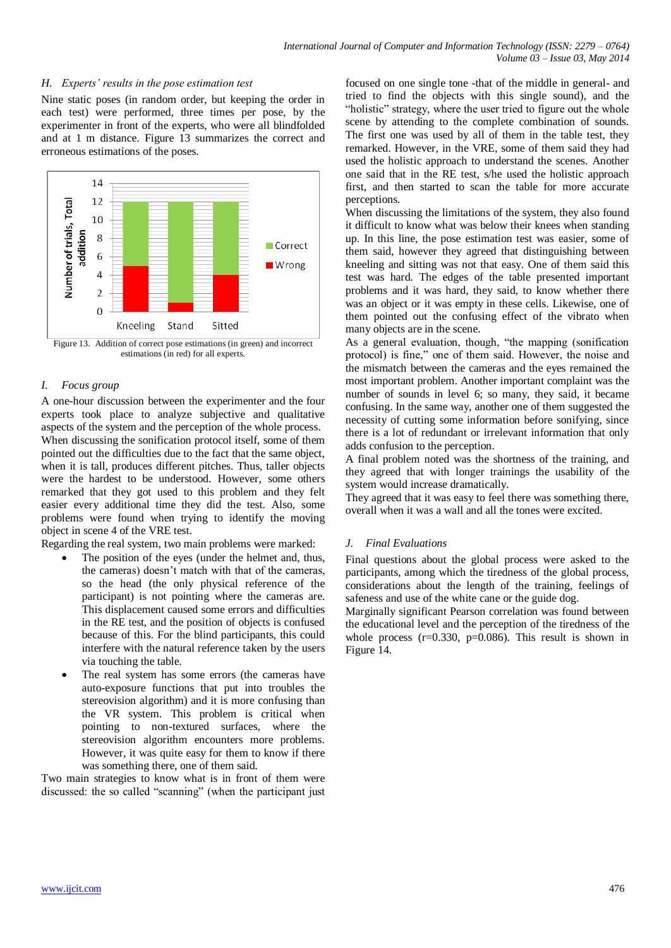## *H. Experts' results in the pose estimation test*

Nine static poses (in random order, but keeping the order in each test) were performed, three times per pose, by the experimenter in front of the experts, who were all blindfolded and at 1 m distance. Figure 13 summarizes the correct and erroneous estimations of the poses.



Figure 13. Addition of correct pose estimations (in green) and incorrect estimations (in red) for all experts.

#### *I. Focus group*

A one-hour discussion between the experimenter and the four experts took place to analyze subjective and qualitative aspects of the system and the perception of the whole process. When discussing the sonification protocol itself, some of them pointed out the difficulties due to the fact that the same object, when it is tall, produces different pitches. Thus, taller objects were the hardest to be understood. However, some others remarked that they got used to this problem and they felt easier every additional time they did the test. Also, some problems were found when trying to identify the moving object in scene 4 of the VRE test.

Regarding the real system, two main problems were marked:

- The position of the eyes (under the helmet and, thus, the cameras) doesn't match with that of the cameras, so the head (the only physical reference of the participant) is not pointing where the cameras are. This displacement caused some errors and difficulties in the RE test, and the position of objects is confused because of this. For the blind participants, this could interfere with the natural reference taken by the users via touching the table.
- The real system has some errors (the cameras have auto-exposure functions that put into troubles the stereovision algorithm) and it is more confusing than the VR system. This problem is critical when pointing to non-textured surfaces, where the stereovision algorithm encounters more problems. However, it was quite easy for them to know if there was something there, one of them said.

Two main strategies to know what is in front of them were discussed: the so called "scanning" (when the participant just focused on one single tone -that of the middle in general- and tried to find the objects with this single sound), and the "holistic" strategy, where the user tried to figure out the whole scene by attending to the complete combination of sounds. The first one was used by all of them in the table test, they remarked. However, in the VRE, some of them said they had used the holistic approach to understand the scenes. Another one said that in the RE test, s/he used the holistic approach first, and then started to scan the table for more accurate perceptions.

When discussing the limitations of the system, they also found it difficult to know what was below their knees when standing up. In this line, the pose estimation test was easier, some of them said, however they agreed that distinguishing between kneeling and sitting was not that easy. One of them said this test was hard. The edges of the table presented important problems and it was hard, they said, to know whether there was an object or it was empty in these cells. Likewise, one of them pointed out the confusing effect of the vibrato when many objects are in the scene.

As a general evaluation, though, "the mapping (sonification protocol) is fine," one of them said. However, the noise and the mismatch between the cameras and the eyes remained the most important problem. Another important complaint was the number of sounds in level 6; so many, they said, it became confusing. In the same way, another one of them suggested the necessity of cutting some information before sonifying, since there is a lot of redundant or irrelevant information that only adds confusion to the perception.

A final problem noted was the shortness of the training, and they agreed that with longer trainings the usability of the system would increase dramatically.

They agreed that it was easy to feel there was something there, overall when it was a wall and all the tones were excited.

#### *J. Final Evaluations*

Final questions about the global process were asked to the participants, among which the tiredness of the global process, considerations about the length of the training, feelings of safeness and use of the white cane or the guide dog.

Marginally significant Pearson correlation was found between the educational level and the perception of the tiredness of the whole process  $(r=0.330, p=0.086)$ . This result is shown in Figure 14.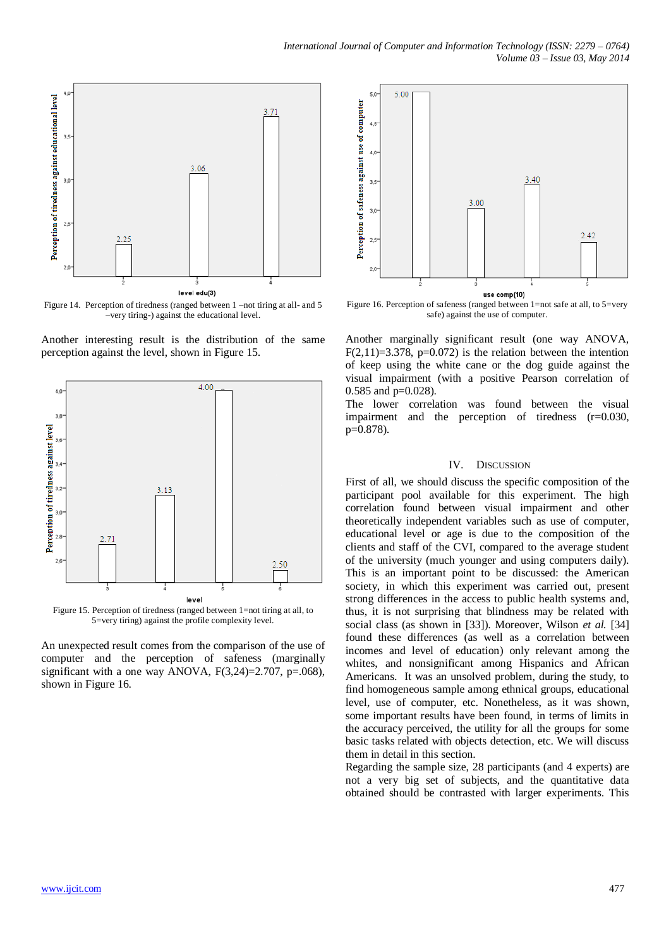

Figure 14. Perception of tiredness (ranged between 1 –not tiring at all- and 5 –very tiring-) against the educational level.

Another interesting result is the distribution of the same perception against the level, shown in Figure 15.



Figure 15. Perception of tiredness (ranged between 1=not tiring at all, to 5=very tiring) against the profile complexity level.

An unexpected result comes from the comparison of the use of computer and the perception of safeness (marginally significant with a one way ANOVA,  $F(3,24)=2.707$ ,  $p=.068$ ), shown in Figure 16.



Figure 16. Perception of safeness (ranged between 1=not safe at all, to 5=very safe) against the use of computer.

Another marginally significant result (one way ANOVA, F(2,11)=3.378, p=0.072) is the relation between the intention of keep using the white cane or the dog guide against the visual impairment (with a positive Pearson correlation of 0.585 and p=0.028).

The lower correlation was found between the visual impairment and the perception of tiredness (r=0.030, p=0.878).

#### IV. DISCUSSION

First of all, we should discuss the specific composition of the participant pool available for this experiment. The high correlation found between visual impairment and other theoretically independent variables such as use of computer, educational level or age is due to the composition of the clients and staff of the CVI, compared to the average student of the university (much younger and using computers daily). This is an important point to be discussed: the American society, in which this experiment was carried out, present strong differences in the access to public health systems and, thus, it is not surprising that blindness may be related with social class (as shown in [33]). Moreover, Wilson *et al.* [34] found these differences (as well as a correlation between incomes and level of education) only relevant among the whites, and nonsignificant among Hispanics and African Americans. It was an unsolved problem, during the study, to find homogeneous sample among ethnical groups, educational level, use of computer, etc. Nonetheless, as it was shown, some important results have been found, in terms of limits in the accuracy perceived, the utility for all the groups for some basic tasks related with objects detection, etc. We will discuss them in detail in this section.

Regarding the sample size, 28 participants (and 4 experts) are not a very big set of subjects, and the quantitative data obtained should be contrasted with larger experiments. This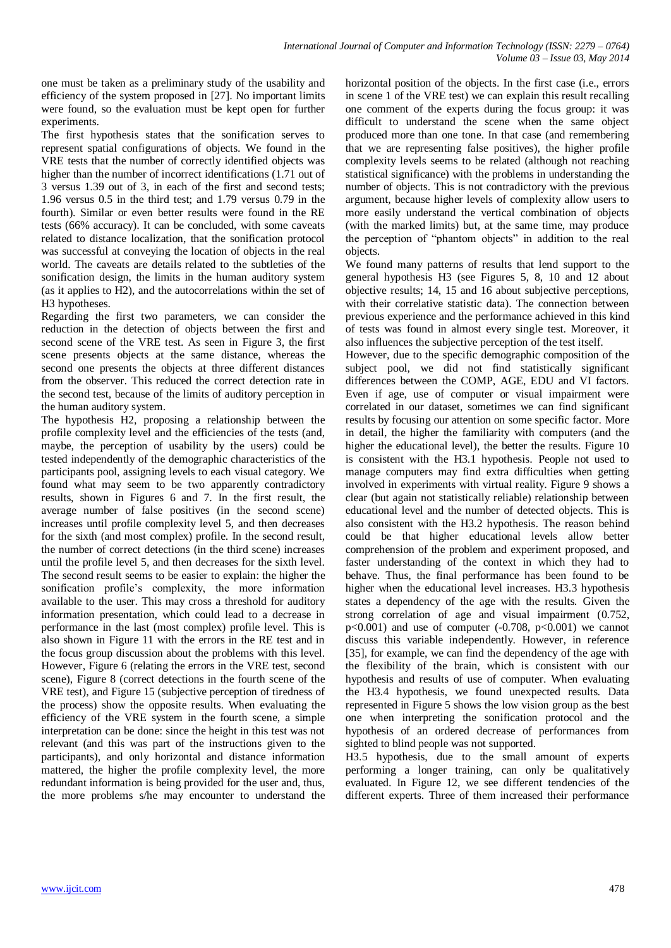one must be taken as a preliminary study of the usability and efficiency of the system proposed in [27]. No important limits were found, so the evaluation must be kept open for further experiments.

The first hypothesis states that the sonification serves to represent spatial configurations of objects. We found in the VRE tests that the number of correctly identified objects was higher than the number of incorrect identifications (1.71 out of 3 versus 1.39 out of 3, in each of the first and second tests; 1.96 versus 0.5 in the third test; and 1.79 versus 0.79 in the fourth). Similar or even better results were found in the RE tests (66% accuracy). It can be concluded, with some caveats related to distance localization, that the sonification protocol was successful at conveying the location of objects in the real world. The caveats are details related to the subtleties of the sonification design, the limits in the human auditory system (as it applies to H2), and the autocorrelations within the set of H3 hypotheses.

Regarding the first two parameters, we can consider the reduction in the detection of objects between the first and second scene of the VRE test. As seen in Figure 3, the first scene presents objects at the same distance, whereas the second one presents the objects at three different distances from the observer. This reduced the correct detection rate in the second test, because of the limits of auditory perception in the human auditory system.

The hypothesis H2, proposing a relationship between the profile complexity level and the efficiencies of the tests (and, maybe, the perception of usability by the users) could be tested independently of the demographic characteristics of the participants pool, assigning levels to each visual category. We found what may seem to be two apparently contradictory results, shown in Figures 6 and 7. In the first result, the average number of false positives (in the second scene) increases until profile complexity level 5, and then decreases for the sixth (and most complex) profile. In the second result, the number of correct detections (in the third scene) increases until the profile level 5, and then decreases for the sixth level. The second result seems to be easier to explain: the higher the sonification profile's complexity, the more information available to the user. This may cross a threshold for auditory information presentation, which could lead to a decrease in performance in the last (most complex) profile level. This is also shown in Figure 11 with the errors in the RE test and in the focus group discussion about the problems with this level. However, Figure 6 (relating the errors in the VRE test, second scene), Figure 8 (correct detections in the fourth scene of the VRE test), and Figure 15 (subjective perception of tiredness of the process) show the opposite results. When evaluating the efficiency of the VRE system in the fourth scene, a simple interpretation can be done: since the height in this test was not relevant (and this was part of the instructions given to the participants), and only horizontal and distance information mattered, the higher the profile complexity level, the more redundant information is being provided for the user and, thus, the more problems s/he may encounter to understand the

horizontal position of the objects. In the first case (i.e., errors in scene 1 of the VRE test) we can explain this result recalling one comment of the experts during the focus group: it was difficult to understand the scene when the same object produced more than one tone. In that case (and remembering that we are representing false positives), the higher profile complexity levels seems to be related (although not reaching statistical significance) with the problems in understanding the number of objects. This is not contradictory with the previous argument, because higher levels of complexity allow users to more easily understand the vertical combination of objects (with the marked limits) but, at the same time, may produce the perception of "phantom objects" in addition to the real objects.

We found many patterns of results that lend support to the general hypothesis H3 (see Figures 5, 8, 10 and 12 about objective results; 14, 15 and 16 about subjective perceptions, with their correlative statistic data). The connection between previous experience and the performance achieved in this kind of tests was found in almost every single test. Moreover, it also influences the subjective perception of the test itself.

However, due to the specific demographic composition of the subject pool, we did not find statistically significant differences between the COMP, AGE, EDU and VI factors. Even if age, use of computer or visual impairment were correlated in our dataset, sometimes we can find significant results by focusing our attention on some specific factor. More in detail, the higher the familiarity with computers (and the higher the educational level), the better the results. Figure 10 is consistent with the H3.1 hypothesis. People not used to manage computers may find extra difficulties when getting involved in experiments with virtual reality. Figure 9 shows a clear (but again not statistically reliable) relationship between educational level and the number of detected objects. This is also consistent with the H3.2 hypothesis. The reason behind could be that higher educational levels allow better comprehension of the problem and experiment proposed, and faster understanding of the context in which they had to behave. Thus, the final performance has been found to be higher when the educational level increases. H3.3 hypothesis states a dependency of the age with the results. Given the strong correlation of age and visual impairment (0.752,  $p<0.001$ ) and use of computer (-0.708,  $p<0.001$ ) we cannot discuss this variable independently. However, in reference [35], for example, we can find the dependency of the age with the flexibility of the brain, which is consistent with our hypothesis and results of use of computer. When evaluating the H3.4 hypothesis, we found unexpected results. Data represented in Figure 5 shows the low vision group as the best one when interpreting the sonification protocol and the hypothesis of an ordered decrease of performances from sighted to blind people was not supported.

H3.5 hypothesis, due to the small amount of experts performing a longer training, can only be qualitatively evaluated. In Figure 12, we see different tendencies of the different experts. Three of them increased their performance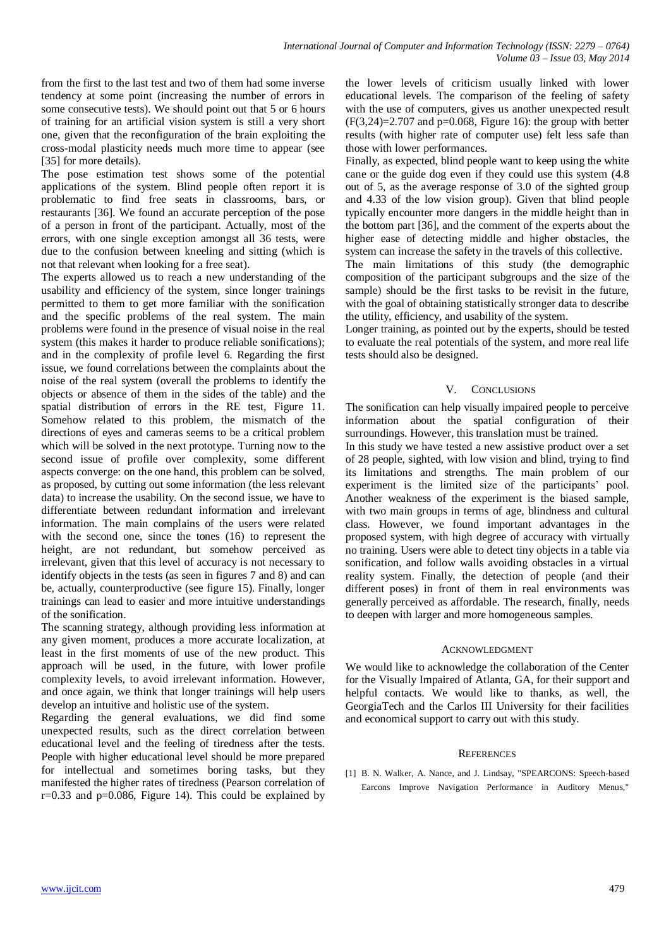from the first to the last test and two of them had some inverse tendency at some point (increasing the number of errors in some consecutive tests). We should point out that 5 or 6 hours of training for an artificial vision system is still a very short one, given that the reconfiguration of the brain exploiting the cross-modal plasticity needs much more time to appear (see [35] for more details).

The pose estimation test shows some of the potential applications of the system. Blind people often report it is problematic to find free seats in classrooms, bars, or restaurants [36]. We found an accurate perception of the pose of a person in front of the participant. Actually, most of the errors, with one single exception amongst all 36 tests, were due to the confusion between kneeling and sitting (which is not that relevant when looking for a free seat).

The experts allowed us to reach a new understanding of the usability and efficiency of the system, since longer trainings permitted to them to get more familiar with the sonification and the specific problems of the real system. The main problems were found in the presence of visual noise in the real system (this makes it harder to produce reliable sonifications); and in the complexity of profile level 6. Regarding the first issue, we found correlations between the complaints about the noise of the real system (overall the problems to identify the objects or absence of them in the sides of the table) and the spatial distribution of errors in the RE test, Figure 11. Somehow related to this problem, the mismatch of the directions of eyes and cameras seems to be a critical problem which will be solved in the next prototype. Turning now to the second issue of profile over complexity, some different aspects converge: on the one hand, this problem can be solved, as proposed, by cutting out some information (the less relevant data) to increase the usability. On the second issue, we have to differentiate between redundant information and irrelevant information. The main complains of the users were related with the second one, since the tones (16) to represent the height, are not redundant, but somehow perceived as irrelevant, given that this level of accuracy is not necessary to identify objects in the tests (as seen in figures 7 and 8) and can be, actually, counterproductive (see figure 15). Finally, longer trainings can lead to easier and more intuitive understandings of the sonification.

The scanning strategy, although providing less information at any given moment, produces a more accurate localization, at least in the first moments of use of the new product. This approach will be used, in the future, with lower profile complexity levels, to avoid irrelevant information. However, and once again, we think that longer trainings will help users develop an intuitive and holistic use of the system.

Regarding the general evaluations, we did find some unexpected results, such as the direct correlation between educational level and the feeling of tiredness after the tests. People with higher educational level should be more prepared for intellectual and sometimes boring tasks, but they manifested the higher rates of tiredness (Pearson correlation of  $r=0.33$  and  $p=0.086$ , Figure 14). This could be explained by

the lower levels of criticism usually linked with lower educational levels. The comparison of the feeling of safety with the use of computers, gives us another unexpected result  $(F(3,24)=2.707$  and  $p=0.068$ , Figure 16): the group with better results (with higher rate of computer use) felt less safe than those with lower performances.

Finally, as expected, blind people want to keep using the white cane or the guide dog even if they could use this system (4.8 out of 5, as the average response of 3.0 of the sighted group and 4.33 of the low vision group). Given that blind people typically encounter more dangers in the middle height than in the bottom part [36], and the comment of the experts about the higher ease of detecting middle and higher obstacles, the system can increase the safety in the travels of this collective.

The main limitations of this study (the demographic composition of the participant subgroups and the size of the sample) should be the first tasks to be revisit in the future, with the goal of obtaining statistically stronger data to describe the utility, efficiency, and usability of the system.

Longer training, as pointed out by the experts, should be tested to evaluate the real potentials of the system, and more real life tests should also be designed.

## V. CONCLUSIONS

The sonification can help visually impaired people to perceive information about the spatial configuration of their surroundings. However, this translation must be trained.

In this study we have tested a new assistive product over a set of 28 people, sighted, with low vision and blind, trying to find its limitations and strengths. The main problem of our experiment is the limited size of the participants' pool. Another weakness of the experiment is the biased sample, with two main groups in terms of age, blindness and cultural class. However, we found important advantages in the proposed system, with high degree of accuracy with virtually no training. Users were able to detect tiny objects in a table via sonification, and follow walls avoiding obstacles in a virtual reality system. Finally, the detection of people (and their different poses) in front of them in real environments was generally perceived as affordable. The research, finally, needs to deepen with larger and more homogeneous samples.

## ACKNOWLEDGMENT

We would like to acknowledge the collaboration of the Center for the Visually Impaired of Atlanta, GA, for their support and helpful contacts. We would like to thanks, as well, the GeorgiaTech and the Carlos III University for their facilities and economical support to carry out with this study.

## **REFERENCES**

[1] B. N. Walker, A. Nance, and J. Lindsay, "SPEARCONS: Speech-based Earcons Improve Navigation Performance in Auditory Menus,"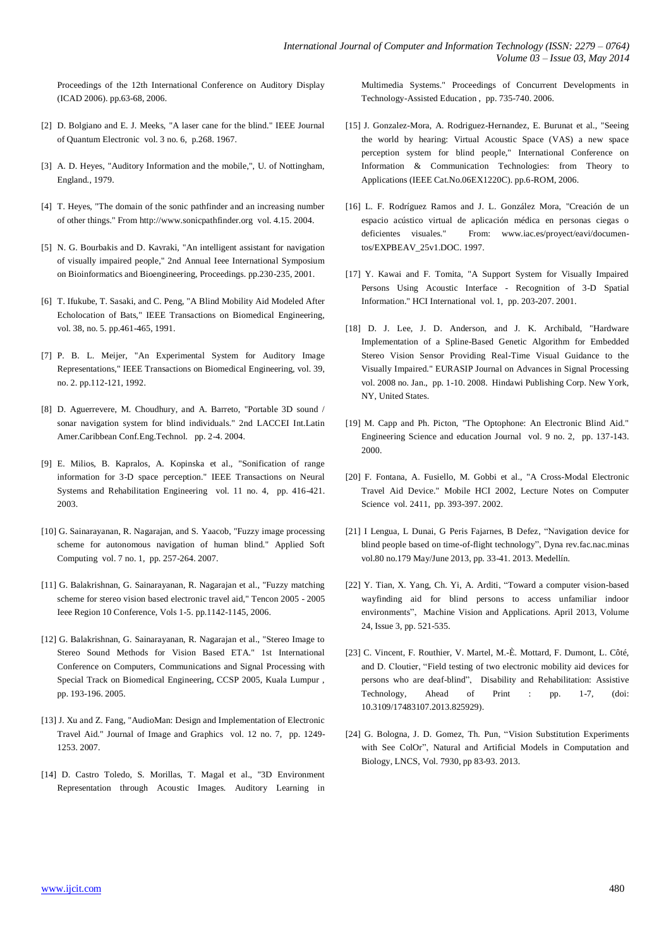Proceedings of the 12th International Conference on Auditory Display (ICAD 2006). pp.63-68, 2006.

- [2] D. Bolgiano and E. J. Meeks, "A laser cane for the blind." IEEE Journal of Quantum Electronic vol. 3 no. 6, p.268. 1967.
- [3] A. D. Heyes, "Auditory Information and the mobile,", U. of Nottingham, England., 1979.
- [4] T. Heyes, "The domain of the sonic pathfinder and an increasing number of other things." From http://www.sonicpathfinder.org vol. 4.15. 2004.
- [5] N. G. Bourbakis and D. Kavraki, "An intelligent assistant for navigation of visually impaired people," 2nd Annual Ieee International Symposium on Bioinformatics and Bioengineering, Proceedings. pp.230-235, 2001.
- [6] T. Ifukube, T. Sasaki, and C. Peng, "A Blind Mobility Aid Modeled After Echolocation of Bats," IEEE Transactions on Biomedical Engineering, vol. 38, no. 5. pp.461-465, 1991.
- [7] P. B. L. Meijer, "An Experimental System for Auditory Image Representations," IEEE Transactions on Biomedical Engineering, vol. 39, no. 2. pp.112-121, 1992.
- [8] D. Aguerrevere, M. Choudhury, and A. Barreto, "Portable 3D sound / sonar navigation system for blind individuals." 2nd LACCEI Int.Latin Amer.Caribbean Conf.Eng.Technol. pp. 2-4. 2004.
- [9] E. Milios, B. Kapralos, A. Kopinska et al., "Sonification of range information for 3-D space perception." IEEE Transactions on Neural Systems and Rehabilitation Engineering vol. 11 no. 4, pp. 416-421. 2003.
- [10] G. Sainarayanan, R. Nagarajan, and S. Yaacob, "Fuzzy image processing scheme for autonomous navigation of human blind." Applied Soft Computing vol. 7 no. 1, pp. 257-264. 2007.
- [11] G. Balakrishnan, G. Sainarayanan, R. Nagarajan et al., "Fuzzy matching scheme for stereo vision based electronic travel aid," Tencon 2005 - 2005 Ieee Region 10 Conference, Vols 1-5. pp.1142-1145, 2006.
- [12] G. Balakrishnan, G. Sainarayanan, R. Nagarajan et al., "Stereo Image to Stereo Sound Methods for Vision Based ETA." 1st International Conference on Computers, Communications and Signal Processing with Special Track on Biomedical Engineering, CCSP 2005, Kuala Lumpur , pp. 193-196. 2005.
- [13] J. Xu and Z. Fang, "AudioMan: Design and Implementation of Electronic Travel Aid." Journal of Image and Graphics vol. 12 no. 7, pp. 1249- 1253. 2007.
- [14] D. Castro Toledo, S. Morillas, T. Magal et al., "3D Environment Representation through Acoustic Images. Auditory Learning in

Multimedia Systems." Proceedings of Concurrent Developments in Technology-Assisted Education , pp. 735-740. 2006.

- [15] J. Gonzalez-Mora, A. Rodriguez-Hernandez, E. Burunat et al., "Seeing the world by hearing: Virtual Acoustic Space (VAS) a new space perception system for blind people," International Conference on Information & Communication Technologies: from Theory to Applications (IEEE Cat.No.06EX1220C). pp.6-ROM, 2006.
- [16] L. F. Rodríguez Ramos and J. L. González Mora, "Creación de un espacio acústico virtual de aplicación médica en personas ciegas o deficientes visuales." From: www.iac.es/proyect/eavi/documentos/EXPBEAV\_25v1.DOC. 1997.
- [17] Y. Kawai and F. Tomita, "A Support System for Visually Impaired Persons Using Acoustic Interface - Recognition of 3-D Spatial Information." HCI International vol. 1, pp. 203-207. 2001.
- [18] D. J. Lee, J. D. Anderson, and J. K. Archibald, "Hardware Implementation of a Spline-Based Genetic Algorithm for Embedded Stereo Vision Sensor Providing Real-Time Visual Guidance to the Visually Impaired." EURASIP Journal on Advances in Signal Processing vol. 2008 no. Jan., pp. 1-10. 2008. Hindawi Publishing Corp. New York, NY, United States.
- [19] M. Capp and Ph. Picton, "The Optophone: An Electronic Blind Aid." Engineering Science and education Journal vol. 9 no. 2, pp. 137-143. 2000.
- [20] F. Fontana, A. Fusiello, M. Gobbi et al., "A Cross-Modal Electronic Travel Aid Device." Mobile HCI 2002, Lecture Notes on Computer Science vol. 2411, pp. 393-397. 2002.
- [21] I Lengua, L Dunai, G Peris Fajarnes, B Defez, "Navigation device for blind people based on time-of-flight technology", Dyna rev.fac.nac.minas vol.80 no.179 May/June 2013, pp. 33-41. 2013. Medellín.
- [22] Y. Tian, X. Yang, Ch. Yi, A. Arditi, "Toward a computer vision-based wayfinding aid for blind persons to access unfamiliar indoor environments", Machine Vision and Applications. April 2013, Volume 24, Issue 3, pp. 521-535.
- [23] C. Vincent, F. Routhier, V. Martel, M.-È. Mottard, F. Dumont, L. Côté, and D. Cloutier, "Field testing of two electronic mobility aid devices for persons who are deaf-blind", Disability and Rehabilitation: Assistive Technology, Ahead of Print : pp. 1-7, (doi: 10.3109/17483107.2013.825929).
- [24] G. Bologna, J. D. Gomez, Th. Pun, "Vision Substitution Experiments with See ColOr", Natural and Artificial Models in Computation and Biology, LNCS, Vol. 7930, pp 83-93. 2013.